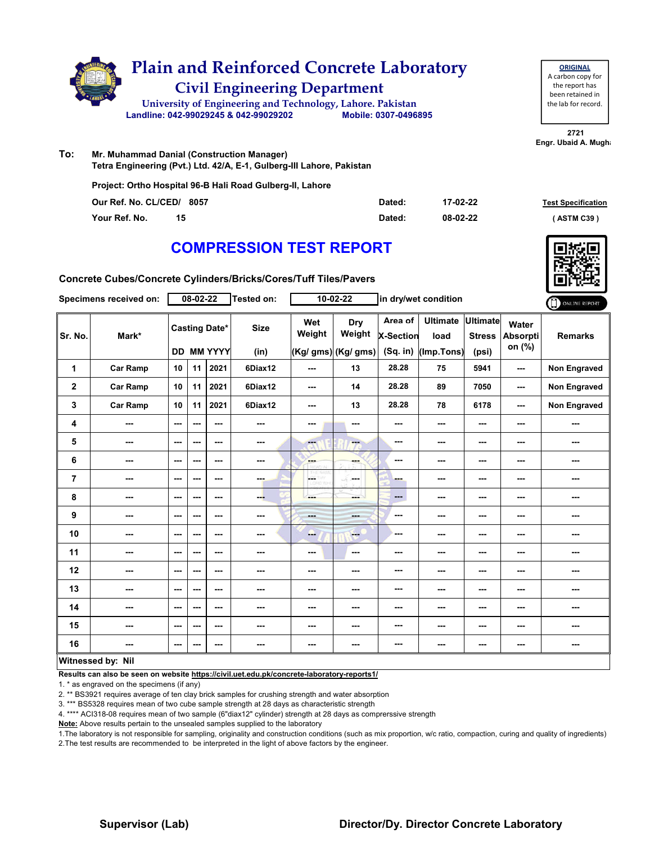

| <b>ORIGINAL</b>     |
|---------------------|
| A carbon copy for   |
| the report has      |
| been retained in    |
| the lab for record. |
|                     |

**2721 Engr. Ubaid A. Mugha** 

**To: Mr. Muhammad Danial (Construction Manager) Tetra Engineering (Pvt.) Ltd. 42/A, E-1, Gulberg-III Lahore, Pakistan**

**Project: Ortho Hospital 96-B Hali Road Gulberg-II, Lahore**

| Our Ref. No. CL/CED/ 8057 | Dated: | 17-02-22 | <b>Test Specification</b> |
|---------------------------|--------|----------|---------------------------|
| Your Ref. No.             | Dated: | 08-02-22 | ASTM C39 \                |

# **COMPRESSION TEST REPORT**

**Concrete Cubes/Concrete Cylinders/Bricks/Cores/Tuff Tiles/Pavers**

|                | Specimens received on:   |                          | 08-02-22 |                                           | <b>Tested on:</b>   |                | 10-02-22                             |                                         | in dry/wet condition                  |                                           |                             | ONLINE REPORT       |
|----------------|--------------------------|--------------------------|----------|-------------------------------------------|---------------------|----------------|--------------------------------------|-----------------------------------------|---------------------------------------|-------------------------------------------|-----------------------------|---------------------|
| Sr. No.        | Mark*                    |                          |          | <b>Casting Date*</b><br><b>DD MM YYYY</b> | <b>Size</b><br>(in) | Wet<br>Weight  | Dry<br>Weight<br>(Kg/ gms) (Kg/ gms) | Area of<br><b>X-Section</b><br>(Sq. in) | <b>Ultimate</b><br>load<br>(Imp.Tons) | <b>Ultimate</b><br><b>Stress</b><br>(psi) | Water<br>Absorpti<br>on (%) | <b>Remarks</b>      |
| 1              | <b>Car Ramp</b>          | 10                       | 11       | 2021                                      | 6Diax12             | ---            | 13                                   | 28.28                                   | 75                                    | 5941                                      | ---                         | <b>Non Engraved</b> |
| $\mathbf 2$    | <b>Car Ramp</b>          | 10                       | 11       | 2021                                      | 6Diax12             | ---            | 14                                   | 28.28                                   | 89                                    | 7050                                      | ---                         | Non Engraved        |
| 3              | <b>Car Ramp</b>          | 10                       | 11       | 2021                                      | 6Diax12             | ---            | 13                                   | 28.28                                   | 78                                    | 6178                                      | ---                         | <b>Non Engraved</b> |
| 4              | ---                      | $\sim$                   | ---      | $\sim$ $\sim$                             | $\sim$              | ---            | ---                                  | ---                                     | ---                                   | ---                                       | ---                         | ---                 |
| 5              | ---                      | $--$                     | ---      | $\sim$ $\sim$                             | ---                 | <b>Fee</b>     | ---                                  | $\sim$ $\sim$                           | ---                                   | ---                                       | ---                         | ---                 |
| 6              | ---                      | $\overline{\phantom{a}}$ | ---      | $\sim$ $\sim$                             | $\sim$              | ---            | ---                                  | ---                                     | ---                                   | ---                                       | ---                         | ---                 |
| $\overline{7}$ | ---                      | $\overline{\phantom{a}}$ | ---      | $\sim$ $\sim$                             | $-1$                | LGS.<br>D.W.YE | ---                                  | ---                                     | ---                                   | ---                                       | ---                         | ---                 |
| 8              | ---                      | $\cdots$                 | ---      | ---                                       | ---                 | ---            | ---                                  | $---$                                   | ---                                   | ---                                       | ---                         | ---                 |
| 9              | ---                      | $\overline{\phantom{a}}$ | ---      | $\sim$ $\sim$                             | $\sim$ $\sim$       | $- - -$        | ---                                  | ---                                     | ---                                   | ---                                       | ---                         | ---                 |
| 10             | $\overline{\phantom{a}}$ | $\sim$                   | ---      | $\sim$ $\sim$                             | ---                 | ---            | <b>Free</b>                          | ---                                     | ---                                   | $\overline{\phantom{a}}$                  | ---                         | ---                 |
| 11             | $\qquad \qquad \cdots$   | $\overline{\phantom{a}}$ | ---      | $\overline{\phantom{a}}$                  | ---                 | ---            | $\overline{\phantom{a}}$             | ---                                     | ---                                   | ---                                       | ---                         | ---                 |
| 12             | ---                      | ---                      | ---      | ---                                       | ---                 | ---            | ---                                  | ---                                     | ---                                   | ---                                       | ---                         | ---                 |
| 13             | ---                      | $\overline{\phantom{a}}$ | ---      | ---                                       | ---                 | ---            | ---                                  | ---                                     | ---                                   | ---                                       | ---                         | ---                 |
| 14             | ---                      | $-$                      | ---      | $\sim$ $\sim$                             | $\sim$ $\sim$       | ---            | ---                                  | ---                                     | ---                                   | ---                                       | ---                         | ---                 |
| 15             | ---                      | $\sim$                   | ---      | $\sim$ $\sim$                             | $\sim$              | ---            | $\overline{\phantom{a}}$             | ---                                     | ---                                   | ---                                       | ---                         | ---                 |
| 16             | ---                      | $\sim$                   | ---      | ---                                       | $\sim$              | ---            | ---                                  | ---                                     | ---                                   | ---                                       | ---                         | ---                 |
|                | Witnessed by: Nil        |                          |          |                                           |                     |                |                                      |                                         |                                       |                                           |                             |                     |

**Results can also be seen on website https://civil.uet.edu.pk/concrete-laboratory-reports1/**

1. \* as engraved on the specimens (if any)

2. \*\* BS3921 requires average of ten clay brick samples for crushing strength and water absorption

3. \*\*\* BS5328 requires mean of two cube sample strength at 28 days as characteristic strength

4. \*\*\*\* ACI318-08 requires mean of two sample (6"diax12" cylinder) strength at 28 days as comprerssive strength

**Note:** Above results pertain to the unsealed samples supplied to the laboratory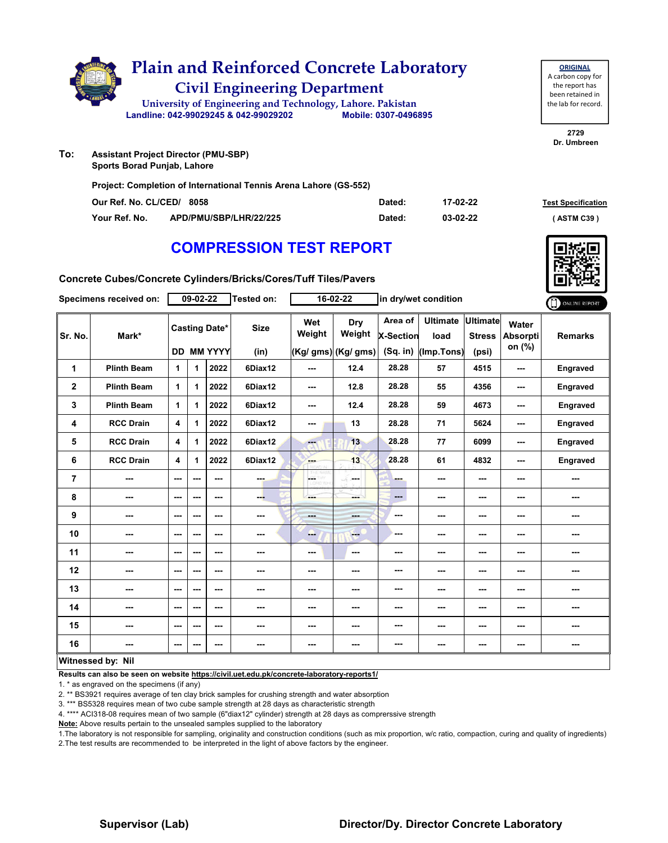

**To: Sports Borad Punjab, Lahore**

**Project: Completion of International Tennis Arena Lahore (GS-552)**

| Our Ref. No. CL/CED/ 8058 |                        | Dated: | 17-02-22 | <b>Test Specification</b> |
|---------------------------|------------------------|--------|----------|---------------------------|
| Your Ref. No.             | APD/PMU/SBP/LHR/22/225 | Dated: | 03-02-22 | ASTM C39                  |

# **COMPRESSION TEST REPORT**



**2729 Dr. Umbreen**

**ORIGINAL** A carbon copy for the report has been retained in the lab for record.

**Concrete Cubes/Concrete Cylinders/Bricks/Cores/Tuff Tiles/Pavers**

|                | Specimens received on: |                         | 09-02-22 |                                           | Tested on:          |                          | 16-02-22                                    |                                           | in dry/wet condition                  |                                           |                                    | ONLINE REPORT   |
|----------------|------------------------|-------------------------|----------|-------------------------------------------|---------------------|--------------------------|---------------------------------------------|-------------------------------------------|---------------------------------------|-------------------------------------------|------------------------------------|-----------------|
| Sr. No.        | Mark*                  |                         |          | <b>Casting Date*</b><br><b>DD MM YYYY</b> | <b>Size</b><br>(in) | Wet<br>Weight            | <b>Dry</b><br>Weight<br>(Kg/ gms) (Kg/ gms) | Area of<br><b>X-Section</b><br>$(Sq.$ in) | <b>Ultimate</b><br>load<br>(Imp.Tons) | <b>Ultimate</b><br><b>Stress</b><br>(psi) | Water<br><b>Absorpti</b><br>on (%) | <b>Remarks</b>  |
| 1              | <b>Plinth Beam</b>     | $\mathbf{1}$            | 1        | 2022                                      | 6Diax12             | ---                      | 12.4                                        | 28.28                                     | 57                                    | 4515                                      | ---                                | <b>Engraved</b> |
|                |                        |                         |          |                                           |                     |                          |                                             |                                           |                                       |                                           |                                    |                 |
| $\mathbf 2$    | <b>Plinth Beam</b>     | $\mathbf{1}$            | 1        | 2022                                      | 6Diax12             | $\overline{\phantom{a}}$ | 12.8                                        | 28.28                                     | 55                                    | 4356                                      | ---                                | <b>Engraved</b> |
| 3              | <b>Plinth Beam</b>     | $\mathbf{1}$            | 1        | 2022                                      | 6Diax12             | ---                      | 12.4                                        | 28.28                                     | 59                                    | 4673                                      | ---                                | Engraved        |
| 4              | <b>RCC Drain</b>       | $\overline{\mathbf{4}}$ | 1        | 2022                                      | 6Diax12             | ---                      | 13                                          | 28.28                                     | 71                                    | 5624                                      | ---                                | Engraved        |
| 5              | <b>RCC Drain</b>       | $\overline{\mathbf{4}}$ | 1        | 2022                                      | 6Diax12             | ---                      | 13                                          | 28.28                                     | 77                                    | 6099                                      | ---                                | Engraved        |
| 6              | <b>RCC Drain</b>       | 4                       | 1        | 2022                                      | 6Diax12             | ---                      | 13                                          | 28.28                                     | 61                                    | 4832                                      | ---                                | Engraved        |
| $\overline{7}$ | ---                    | ---                     | ---      | ---                                       | ---                 | LGE.<br>w                | ---                                         | ---                                       | ---                                   | $--$                                      | ---                                |                 |
| 8              | ---                    | $- - -$                 | ---      | $- - -$                                   | ---                 | ---                      | ---                                         | ---                                       | ---                                   | ---                                       | ---                                | ---             |
| 9              | ---                    | ---                     | ---      | ---                                       | ---                 | ---                      | ---                                         | ---                                       | ---                                   | $--$                                      | ---                                | ---             |
| 10             | ---                    | ---                     | ---      | ---                                       | ---                 | --                       | <b>Here</b>                                 | ---                                       | ---                                   | ---                                       | ---                                | ---             |
| 11             | ---                    | ---                     | ---      | ---                                       | ---                 | ---                      | ---                                         | ---                                       | ---                                   | $--$                                      | ---                                | ---             |
| 12             | ---                    | ---                     | ---      | $- - -$                                   | ---                 | ---                      | ---                                         | ---                                       | ---                                   | ---                                       | ---                                | ---             |
| 13             | ---                    | ---                     | ---      | $--$                                      | $\cdots$            | ---                      | ---                                         | ---                                       | ---                                   | $--$                                      | ---                                | ---             |
| 14             | ---                    | ---                     | ---      | ---                                       | ---                 | ---                      | ---                                         | ---                                       | ---                                   | ---                                       | ---                                | ---             |
| 15             | ---                    | ---                     | ---      | ---                                       | ---                 | ---                      | ---                                         | ---                                       | ---                                   | ---                                       | ---                                | ---             |
| 16             | ---                    | ---                     | ---      | $--$                                      | ---                 | ---                      | ---                                         | ---                                       | ---                                   | ---                                       | ---                                | ---             |
|                | Witnessed by: Nil      |                         |          |                                           |                     |                          |                                             |                                           |                                       |                                           |                                    |                 |

**Results can also be seen on website https://civil.uet.edu.pk/concrete-laboratory-reports1/**

1. \* as engraved on the specimens (if any)

2. \*\* BS3921 requires average of ten clay brick samples for crushing strength and water absorption

3. \*\*\* BS5328 requires mean of two cube sample strength at 28 days as characteristic strength

4. \*\*\*\* ACI318-08 requires mean of two sample (6"diax12" cylinder) strength at 28 days as comprerssive strength

**Note:** Above results pertain to the unsealed samples supplied to the laboratory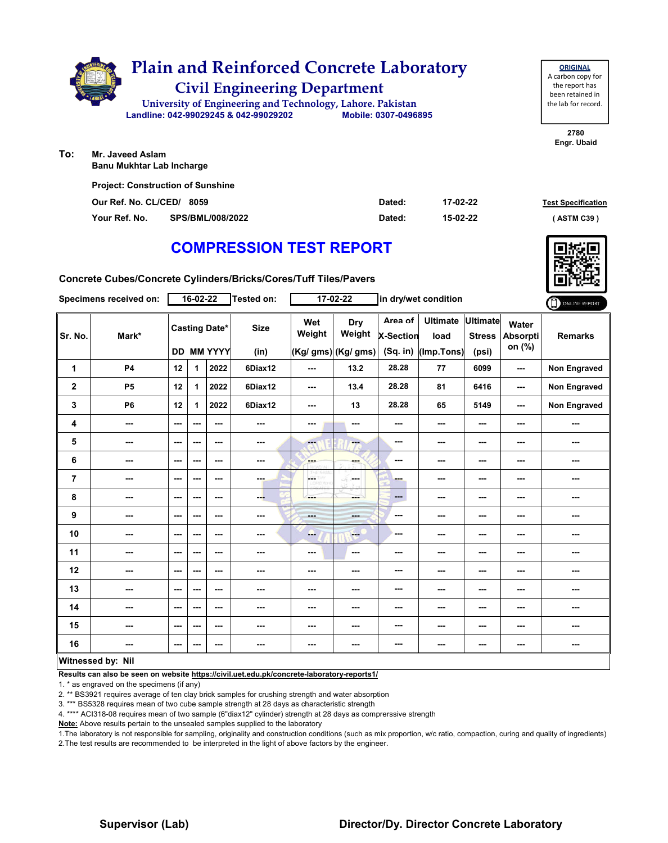

| <b>Project: Construction of Sunshine</b> |                  |        |          |                           |
|------------------------------------------|------------------|--------|----------|---------------------------|
| Our Ref. No. CL/CED/ 8059                |                  | Dated: | 17-02-22 | <b>Test Specification</b> |
| Your Ref. No.                            | SPS/BML/008/2022 | Dated: | 15-02-22 | (ASTM C39 )               |

# **COMPRESSION TEST REPORT**

**Concrete Cubes/Concrete Cylinders/Bricks/Cores/Tuff Tiles/Pavers**

|                | Specimens received on: |                          | $16-02-22$                                |                          | Tested on:          |               | $17 - 02 - 22$                       |                                           | in dry/wet condition                  |                                    |                                    | ONLINE REPORT  |
|----------------|------------------------|--------------------------|-------------------------------------------|--------------------------|---------------------|---------------|--------------------------------------|-------------------------------------------|---------------------------------------|------------------------------------|------------------------------------|----------------|
| Sr. No.        | Mark*                  |                          | <b>Casting Date*</b><br><b>DD MM YYYY</b> |                          | <b>Size</b><br>(in) | Wet<br>Weight | Dry<br>Weight<br>(Kg/ gms) (Kg/ gms) | Area of<br><b>X-Section</b><br>$(Sq.$ in) | <b>Ultimate</b><br>load<br>(Imp.Tons) | Ultimate<br><b>Stress</b><br>(psi) | Water<br><b>Absorpti</b><br>on (%) | <b>Remarks</b> |
| 1              | <b>P4</b>              | 12                       | 1                                         | 2022                     | 6Diax12             | $- - -$       | 13.2                                 | 28.28                                     | 77                                    | 6099                               | ---                                | Non Engraved   |
| $\mathbf 2$    | P <sub>5</sub>         | 12                       | 1                                         | 2022                     | 6Diax12             | $--$          | 13.4                                 | 28.28                                     | 81                                    | 6416                               | ---                                | Non Engraved   |
| 3              | <b>P6</b>              | 12                       | 1                                         | 2022                     | 6Diax12             | $--$          | 13                                   | 28.28                                     | 65                                    | 5149                               | ---                                | Non Engraved   |
| 4              | ---                    | ---                      | ---                                       | ---                      | ---                 | ---           | $\overline{\phantom{a}}$             | ---                                       | ---                                   | ---                                | ---                                | ---            |
| 5              | $\qquad \qquad \cdots$ | $\sim$                   | ---                                       | ---                      | $\sim$              | --            | ---                                  | ---                                       | ---                                   | ---                                | ---                                | ---            |
| 6              | ---                    | $\sim$ $\sim$            | ---                                       | $\sim$ $\sim$            | $\sim$ $\sim$       | <b>Albert</b> | ---                                  | ---                                       | ---                                   | ---                                | ---                                | ---            |
| $\overline{7}$ | ---                    | $\overline{\phantom{a}}$ | ---                                       | $\sim$ $\sim$            | ---                 | CORD WHE      | ---                                  | ---                                       | ---                                   | ---                                |                                    | ---            |
| 8              | ---                    | $\sim$                   | ---                                       | ---                      | --                  | ---           | ---                                  | $\qquad \qquad \cdots$                    | ---                                   | ---                                | ---                                | ---            |
| 9              | $\sim$                 | $\sim$                   | ---                                       | $- - -$                  | $\sim$ $\sim$       | ---           | ---                                  | ---                                       | ---                                   | ---                                | ---                                | ---            |
| 10             | ---                    | $\overline{\phantom{a}}$ | ---                                       | $\overline{\phantom{a}}$ | ---                 | ---           | $\frac{1}{1-\frac{1}{2}}$            | ---                                       | ---                                   | ---                                | ---                                | ---            |
| 11             | ---                    | $\sim$                   | ---                                       | $\sim$ $\sim$            | $\sim$              | ---           | $\cdots$                             | ---                                       | ---                                   | ---                                | ---                                | ---            |
| 12             | ---                    | $--$                     | ---                                       | $\sim$ $\sim$            | ---                 | ---           | ---                                  | ---                                       | ---                                   | ---                                | ---                                | ---            |
| 13             | ---                    | $--$                     | ---                                       | $\overline{\phantom{a}}$ | ---                 | ---           | ---                                  | ---                                       | ---                                   | ---                                | ---                                | ---            |
| 14             | ---                    | $\overline{\phantom{a}}$ | ---                                       | $\sim$                   | $\sim$              | ---           | ---                                  | ---                                       | ---                                   | ---                                |                                    | ---            |
| 15             | ---                    | $--$                     | ---                                       | $\sim$ $\sim$            | ---                 | ---           | $\sim$                               | ---                                       | ---                                   | ---                                | ---                                | ---            |
| 16             | $\sim$                 | $\overline{\phantom{a}}$ | ---                                       | ---                      | $\sim$              | ---           | ---                                  | ---                                       | ---                                   | ---                                | ---                                | ---            |
|                | Witnessed by: Nil      |                          |                                           |                          |                     |               |                                      |                                           |                                       |                                    |                                    |                |

**Results can also be seen on website https://civil.uet.edu.pk/concrete-laboratory-reports1/**

1. \* as engraved on the specimens (if any)

2. \*\* BS3921 requires average of ten clay brick samples for crushing strength and water absorption

3. \*\*\* BS5328 requires mean of two cube sample strength at 28 days as characteristic strength

4. \*\*\*\* ACI318-08 requires mean of two sample (6"diax12" cylinder) strength at 28 days as comprerssive strength

**Note:** Above results pertain to the unsealed samples supplied to the laboratory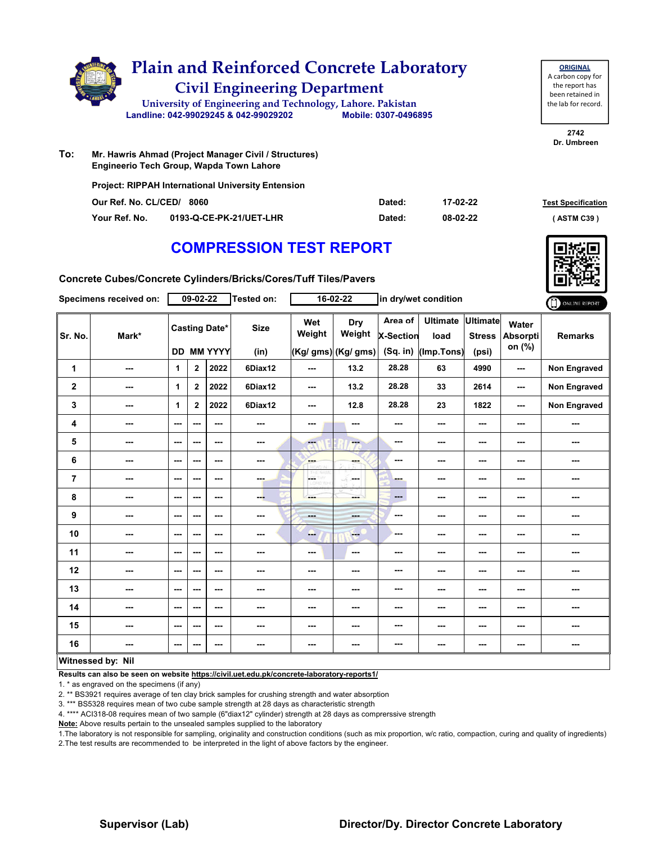|     | <b>Plain and Reinforced Concrete Laboratory</b><br><b>Civil Engineering Department</b><br>University of Engineering and Technology, Lahore. Pakistan<br>Landline: 042-99029245 & 042-99029202 | Mobile: 0307-0496895 |          | <b>ORIGINAL</b><br>A carbon copy for<br>the report has<br>been retained in<br>the lab for record. |
|-----|-----------------------------------------------------------------------------------------------------------------------------------------------------------------------------------------------|----------------------|----------|---------------------------------------------------------------------------------------------------|
| To: | Mr. Hawris Ahmad (Project Manager Civil / Structures)                                                                                                                                         |                      |          | 2742<br>Dr. Umbreen                                                                               |
|     | Engineerio Tech Group, Wapda Town Lahore<br><b>Project: RIPPAH International University Entension</b>                                                                                         |                      |          |                                                                                                   |
|     | Our Ref. No. CL/CED/<br>8060                                                                                                                                                                  | Dated:               | 17-02-22 | <b>Test Specification</b>                                                                         |

**Your Ref. No. 0193-Q-CE-PK-21/UET-LHR Dated: ( ASTM C39 )**

**08-02-22**

# **COMPRESSION TEST REPORT**

**Concrete Cubes/Concrete Cylinders/Bricks/Cores/Tuff Tiles/Pavers**

|                | Specimens received on:   |                          | $09 - 02 - 22$                            |         | Tested on:               |                         | $16 - 02 - 22$                       |                                         | in dry/wet condition                  |                                           |                             | ONLINE REPORT       |
|----------------|--------------------------|--------------------------|-------------------------------------------|---------|--------------------------|-------------------------|--------------------------------------|-----------------------------------------|---------------------------------------|-------------------------------------------|-----------------------------|---------------------|
| Sr. No.        | Mark*                    |                          | <b>Casting Date*</b><br><b>DD MM YYYY</b> |         | <b>Size</b><br>(in)      | Wet<br>Weight           | Dry<br>Weight<br>(Kg/ gms) (Kg/ gms) | Area of<br><b>X-Section</b><br>(Sq. in) | <b>Ultimate</b><br>load<br>(Imp.Tons) | <b>Ultimate</b><br><b>Stress</b><br>(psi) | Water<br>Absorpti<br>on (%) | <b>Remarks</b>      |
| 1              | ---                      | 1                        | $\mathbf{2}$                              | 2022    | 6Diax12                  | ---                     | 13.2                                 | 28.28                                   | 63                                    | 4990                                      | ---                         | <b>Non Engraved</b> |
| $\mathbf 2$    | ---                      | 1                        | $\mathbf 2$                               | 2022    | 6Diax12                  | ---                     | 13.2                                 | 28.28                                   | 33                                    | 2614                                      | ---                         | <b>Non Engraved</b> |
| 3              | ---                      | $\mathbf{1}$             | $\mathbf{2}$                              | 2022    | 6Diax12                  | ---                     | 12.8                                 | 28.28                                   | 23                                    | 1822                                      | ---                         | Non Engraved        |
| 4              | ---                      | $\sim$ $\sim$            | ---                                       | $- - -$ | ---                      | ---                     | ---                                  | ---                                     | ---                                   | ---                                       | ---                         | ---                 |
| 5              | $- - -$                  | $\sim$ $\sim$            | ---                                       | ---     | $\cdots$                 | $\overline{\mathbf{a}}$ | --                                   | ---                                     | ---                                   | ---                                       | ---                         | ---                 |
| 6              | ---                      | $--$                     | ---                                       | ---     | $\overline{\phantom{a}}$ | <b>Base</b>             | ---                                  | ---                                     | ---                                   | ---                                       | ---                         | ---                 |
| $\overline{7}$ | ---                      | ---                      | ---                                       | $--$    | ---                      | <b>CETHY</b>            | ---                                  | ---                                     | ---                                   | ---                                       | ---                         |                     |
| 8              | ---                      | $\sim$ $\sim$            | ---                                       | ---     | ---                      | ---                     | ---                                  | ---                                     | ---                                   | ---                                       | ---                         | ---                 |
| 9              | ---                      | $--$                     | ---                                       | ---     | $\cdots$                 | <b>Basic</b>            | ---                                  | ---                                     | ---                                   | ---                                       | ---                         | ---                 |
| 10             | ---                      | $--$                     | ---                                       | ---     | ---                      | --                      | ---                                  | ---                                     | ---                                   | ---                                       | ---                         | ---                 |
| 11             | ---                      | ---                      | ---                                       | ---     | ---                      | ---                     | $\sim$ $\sim$                        | ---                                     | ---                                   | ---                                       | ---                         | ---                 |
| 12             | ---                      | $\sim$ $\sim$            | ---                                       | ---     | ---                      | ---                     | ---                                  | ---                                     | ---                                   | ---                                       | ---                         | ---                 |
| 13             | ---                      | ---                      | ---                                       | ---     | ---                      | ---                     | ---                                  | ---                                     | ---                                   | ---                                       | ---                         | ---                 |
| 14             | ---                      | $--$                     | ---                                       | ---     | ---                      | ---                     | ---                                  | ---                                     | ---                                   | ---                                       | ---                         | ---                 |
| 15             | ---                      | $\sim$ $\sim$            | ---                                       | ---     | ---                      | ---                     | ---                                  | ---                                     | ---                                   | ---                                       | ---                         | ---                 |
| 16             | ---                      | $\overline{\phantom{a}}$ | ---                                       | ---     | $\sim$                   | ---                     | ---                                  | ---                                     | ---                                   | ---                                       | ---                         | ---                 |
|                | <b>Witnessed by: Nil</b> |                          |                                           |         |                          |                         |                                      |                                         |                                       |                                           |                             |                     |

## **Witnessed by: Nil**

**Results can also be seen on website https://civil.uet.edu.pk/concrete-laboratory-reports1/**

1. \* as engraved on the specimens (if any)

2. \*\* BS3921 requires average of ten clay brick samples for crushing strength and water absorption

3. \*\*\* BS5328 requires mean of two cube sample strength at 28 days as characteristic strength

4. \*\*\*\* ACI318-08 requires mean of two sample (6"diax12" cylinder) strength at 28 days as comprerssive strength

**Note:** Above results pertain to the unsealed samples supplied to the laboratory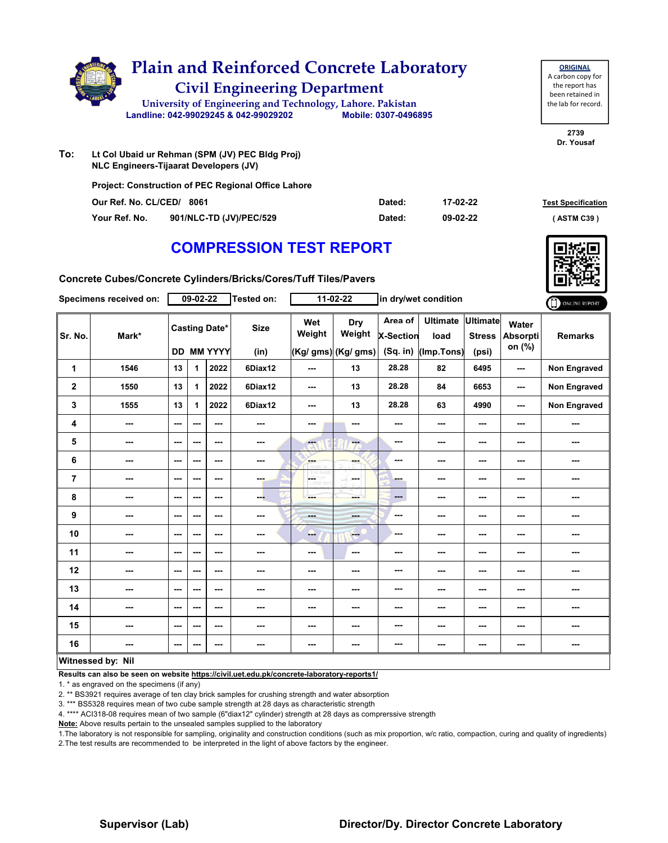|     | <b>Plain and Reinforced Concrete Laboratory</b><br><b>Civil Engineering Department</b><br>University of Engineering and Technology, Lahore. Pakistan<br>Landline: 042-99029245 & 042-99029202 | Mobile: 0307-0496895 |          |  |
|-----|-----------------------------------------------------------------------------------------------------------------------------------------------------------------------------------------------|----------------------|----------|--|
| To: | Lt Col Ubaid ur Rehman (SPM (JV) PEC Bldg Proj)<br><b>NLC Engineers-Tijaarat Developers (JV)</b>                                                                                              |                      |          |  |
|     | <b>Project: Construction of PEC Regional Office Lahore</b><br>Our Ref. No. CL/CED/<br>8061                                                                                                    | Dated:               | 17-02-22 |  |

**Our Ref. No. CL/CED/ Dated: Test Specification 8061 Your Ref. No. 901/NLC-TD (JV)/PEC/529 Dated: ( ASTM C39 )**

**09-02-22**

# **COMPRESSION TEST REPORT**



**2739 Dr. Yousaf**

**ORIGINAL** A carbon copy for the report has been retained in the lab for record.

**Concrete Cubes/Concrete Cylinders/Bricks/Cores/Tuff Tiles/Pavers**

|             | Specimens received on:   |                                           | 09-02-22 |                          | Tested on:          |                  | $11-02-22$                                  |                                           | in dry/wet condition                  |                                           |                                    | ONLINE REPORT  |
|-------------|--------------------------|-------------------------------------------|----------|--------------------------|---------------------|------------------|---------------------------------------------|-------------------------------------------|---------------------------------------|-------------------------------------------|------------------------------------|----------------|
| Sr. No.     | Mark*                    | <b>Casting Date*</b><br><b>DD MM YYYY</b> |          |                          | <b>Size</b><br>(in) | Wet<br>Weight    | <b>Dry</b><br>Weight<br>(Kg/ gms) (Kg/ gms) | Area of<br><b>X-Section</b><br>$(Sq.$ in) | <b>Ultimate</b><br>load<br>(Imp.Tons) | <b>Ultimate</b><br><b>Stress</b><br>(psi) | Water<br><b>Absorpti</b><br>on (%) | <b>Remarks</b> |
| 1           | 1546                     | 13                                        | 1        | 2022                     | 6Diax12             | ---              | 13                                          | 28.28                                     | 82                                    | 6495                                      | ---                                | Non Engraved   |
| $\mathbf 2$ | 1550                     | 13                                        | 1        | 2022                     | 6Diax12             | $--$             | 13                                          | 28.28                                     | 84                                    | 6653                                      | ---                                | Non Engraved   |
| 3           | 1555                     | 13                                        | 1        | 2022                     | 6Diax12             | ---              | 13                                          | 28.28                                     | 63                                    | 4990                                      | ---                                | Non Engraved   |
| 4           | $\sim$                   | $\sim$                                    | ---      | $- - -$                  | ---                 | ---              | ---                                         | ---                                       | ---                                   | $--$                                      | $\overline{\phantom{a}}$           | ---            |
| 5           | $\cdots$                 | ---                                       | ---      | $--$                     | $\cdots$            | $-1$             | ÷                                           | ---                                       | ---                                   | $--$                                      | ---                                | ---            |
| 6           | ---                      | $\overline{\phantom{a}}$                  | ---      | $--$                     | ---                 | ---              | ---                                         | ---                                       | ---                                   | ---                                       | ---                                |                |
| 7           | ---                      | ---                                       | ---      | ---                      | ---                 | CETHY<br>LORD WH | -F.<br>an mar                               | ---                                       | ---                                   | $\cdots$                                  | ---                                | ---            |
| 8           | $\sim$ $\sim$            | $\overline{\phantom{a}}$                  | ---      | $--$                     | --                  | ---              | ---                                         | ---                                       | ---                                   | $\overline{\phantom{a}}$                  | ---                                | ---            |
| 9           | $\overline{\phantom{a}}$ | $\overline{\phantom{a}}$                  | ---      | ---                      | ---                 | ---              | ---                                         | ---                                       | ---                                   | $\cdots$                                  | ---                                | ---            |
| 10          | ---                      | $\sim$ $\sim$                             | ---      | $- - -$                  | ---                 | ---              | <b>Fee</b>                                  | ---                                       | ---                                   | ---                                       | ---                                | ---            |
| 11          | $\overline{\phantom{a}}$ | $\overline{\phantom{a}}$                  | ---      | $--$                     | ---                 | $--$             | ---                                         | ---                                       | ---                                   | $--$                                      | ---                                |                |
| 12          | $\cdots$                 | $\cdots$                                  | ---      | ---                      | ---                 | ---              | ---                                         | ---                                       | ---                                   | ---                                       | ---                                | ---            |
| 13          | ---                      | $--$                                      | ---      | $--$                     | ---                 | ---              | ---                                         | ---                                       | ---                                   | ---                                       | ---                                |                |
| 14          | ---                      | $--$                                      | ---      | $--$                     | ---                 | ---              | ---                                         | ---                                       | ---                                   | ---                                       | ---                                | ---            |
| 15          | $\sim$ $\sim$            | $\overline{\phantom{a}}$                  | ---      | $\overline{\phantom{a}}$ | $\sim$              | ---              | ---                                         | ---                                       | ---                                   | $\sim$                                    | ---                                | ---            |
| 16          | $\overline{\phantom{a}}$ | $\sim$ $\sim$                             | ---      | ---                      | $\sim$              | ---              | ---                                         | ---                                       | ---                                   | ---                                       | ---                                | ---            |
|             | <b>Witnessed by: Nil</b> |                                           |          |                          |                     |                  |                                             |                                           |                                       |                                           |                                    |                |

## **Witnessed by: Nil**

**Results can also be seen on website https://civil.uet.edu.pk/concrete-laboratory-reports1/**

1. \* as engraved on the specimens (if any)

2. \*\* BS3921 requires average of ten clay brick samples for crushing strength and water absorption

3. \*\*\* BS5328 requires mean of two cube sample strength at 28 days as characteristic strength

4. \*\*\*\* ACI318-08 requires mean of two sample (6"diax12" cylinder) strength at 28 days as comprerssive strength

**Note:** Above results pertain to the unsealed samples supplied to the laboratory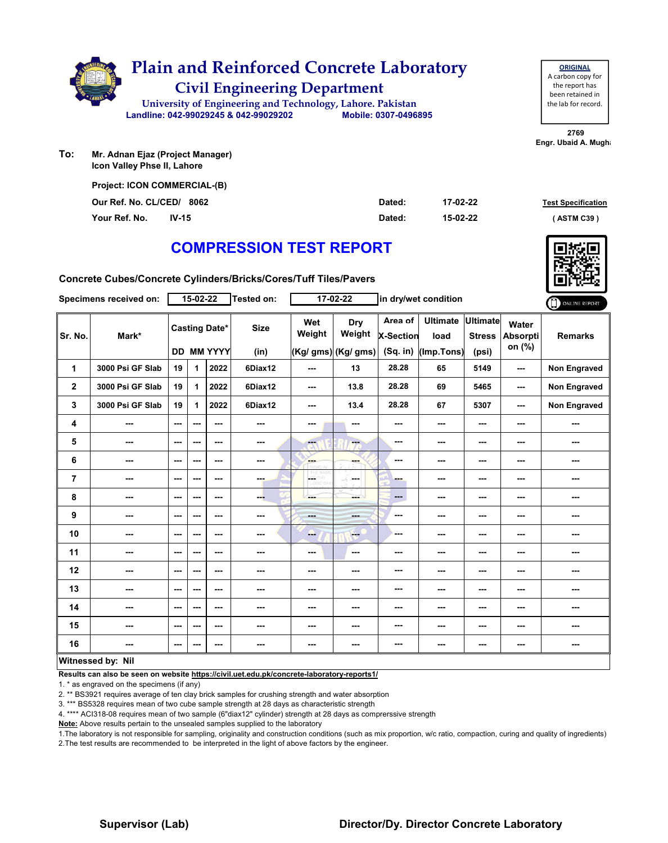

| <b>ORIGINAL</b>     |
|---------------------|
| A carbon copy for   |
| the report has      |
| been retained in    |
| the lab for record. |
|                     |

**2769 Engr. Ubaid A. Mugha** 

**To: Mr. Adnan Ejaz (Project Manager) Icon Valley Phse II, Lahore**

| <b>Project: ICON COMMERCIAL-(B)</b> |        |          |                           |
|-------------------------------------|--------|----------|---------------------------|
| Our Ref. No. CL/CED/ 8062           | Dated: | 17-02-22 | <b>Test Specification</b> |
| Your Ref. No.<br>$IV-15$            | Dated: | 15-02-22 | (ASTM C39)                |

## **COMPRESSION TEST REPORT**

**Concrete Cubes/Concrete Cylinders/Bricks/Cores/Tuff Tiles/Pavers**

|             | Specimens received on:   |                        | $15 - 02 - 22$           |                                    | Tested on:               |                                 | $17 - 02 - 22$                        |                                         | in dry/wet condition                  |                                           |                                    | ONLINE REPORT       |
|-------------|--------------------------|------------------------|--------------------------|------------------------------------|--------------------------|---------------------------------|---------------------------------------|-----------------------------------------|---------------------------------------|-------------------------------------------|------------------------------------|---------------------|
| Sr. No.     | Mark*                    |                        |                          | <b>Casting Date*</b><br>DD MM YYYY | <b>Size</b><br>(in)      | Wet<br>Weight                   | Dry<br>Weight<br>$(Kg/gms)$ (Kg/ gms) | Area of<br><b>X-Section</b><br>(Sq. in) | <b>Ultimate</b><br>load<br>(Imp.Tons) | <b>Ultimate</b><br><b>Stress</b><br>(psi) | Water<br><b>Absorpti</b><br>on (%) | <b>Remarks</b>      |
| 1           | 3000 Psi GF Slab         | 19                     | 1                        | 2022                               | 6Diax12                  | ---                             | 13                                    | 28.28                                   | 65                                    | 5149                                      | ---                                | <b>Non Engraved</b> |
| $\mathbf 2$ | 3000 Psi GF Slab         | 19                     | 1                        | 2022                               | 6Diax12                  | ---                             | 13.8                                  | 28.28                                   | 69                                    | 5465                                      | ---                                | <b>Non Engraved</b> |
| 3           | 3000 Psi GF Slab         | 19                     | 1                        | 2022                               | 6Diax12                  | ---                             | 13.4                                  | 28.28                                   | 67                                    | 5307                                      | ---                                | Non Engraved        |
| 4           | $\overline{\phantom{a}}$ | $\sim$ $\sim$          | $\overline{\phantom{a}}$ | $\overline{\phantom{a}}$           | ---                      | ---                             | ---                                   | ---                                     | ---                                   | ---                                       | ---                                | ---                 |
| 5           | ---                      | $\sim$ $\sim$          | ---                      | $\overline{\phantom{a}}$           | $\overline{\phantom{a}}$ | $\overline{\phantom{a}}$        | ---                                   | $\sim$                                  | ---                                   | ---                                       | ---                                | ---                 |
| 6           | ---                      | $\sim$                 | ---                      | $- - -$                            | ---                      | ---                             | ---                                   | ---                                     | ---                                   | ---                                       | ---                                | ---                 |
| 7           | $\overline{\phantom{a}}$ | $\sim$ $\sim$          | $\overline{\phantom{a}}$ | ---                                | man.                     | LGE <sup>1</sup><br><b>D.WH</b> | ---                                   | ---                                     | ---                                   | ---                                       | ---                                | ---                 |
| 8           | ---                      | $\sim$                 | ---                      | ---                                | ---                      | ---                             | ---                                   | $\qquad \qquad \cdots$                  | ---                                   | ---                                       | ---                                | ---                 |
| 9           | ---                      | $\qquad \qquad \cdots$ | ---                      | ---                                | ---                      | ---                             | ---                                   | $-$                                     | ---                                   | ---                                       | ---                                | ---                 |
| 10          | $- - -$                  | $\sim$ $\sim$          | ---                      | ---                                | $\sim$ $\sim$            | ---                             | <b>Free</b>                           | ---                                     | ---                                   | ---                                       | ---                                | ---                 |
| 11          | $\overline{\phantom{a}}$ | $\sim$ $\sim$          | ---                      | $--$                               | ---                      | ---                             | $\sim$                                | ---                                     | ---                                   | ---                                       | ---                                | ---                 |
| 12          | ---                      | $\qquad \qquad \cdots$ | ---                      | $\overline{\phantom{a}}$           | ---                      | ---                             | ---                                   | $- - -$                                 | ---                                   | ---                                       | ---                                | ---                 |
| 13          | ---                      | $\sim$ $\sim$          | ---                      | ---                                | ---                      | ---                             | ---                                   | ---                                     | ---                                   | ---                                       | ---                                | ---                 |
| 14          | $\sim$ $\sim$            | $\sim$ $\sim$          | ---                      | $\sim$ $\sim$                      | ---                      | ---                             | ---                                   | ---                                     | ---                                   | ---                                       | ---                                | ---                 |
| 15          | ---                      | $\sim$ $\sim$          | ---                      | $--$                               | ---                      | ---                             | ---                                   | $\sim$                                  | ---                                   | ---                                       | ---                                | ---                 |
| 16          | $\overline{\phantom{a}}$ | $\sim$ $\sim$          | ---                      | ---                                | ---                      | ---                             | ---                                   | $- - -$                                 | ---                                   | ---                                       | $\cdots$                           | ---                 |
|             | Witnessed by: Nil        |                        |                          |                                    |                          |                                 |                                       |                                         |                                       |                                           |                                    |                     |

**Results can also be seen on website https://civil.uet.edu.pk/concrete-laboratory-reports1/**

1. \* as engraved on the specimens (if any)

2. \*\* BS3921 requires average of ten clay brick samples for crushing strength and water absorption

3. \*\*\* BS5328 requires mean of two cube sample strength at 28 days as characteristic strength

4. \*\*\*\* ACI318-08 requires mean of two sample (6"diax12" cylinder) strength at 28 days as comprerssive strength

**Note:** Above results pertain to the unsealed samples supplied to the laboratory

1.The laboratory is not responsible for sampling, originality and construction conditions (such as mix proportion, w/c ratio, compaction, curing and quality of ingredients) 2.The test results are recommended to be interpreted in the light of above factors by the engineer.

## **Supervisor (Lab) Director/Dy. Director Concrete Laboratory**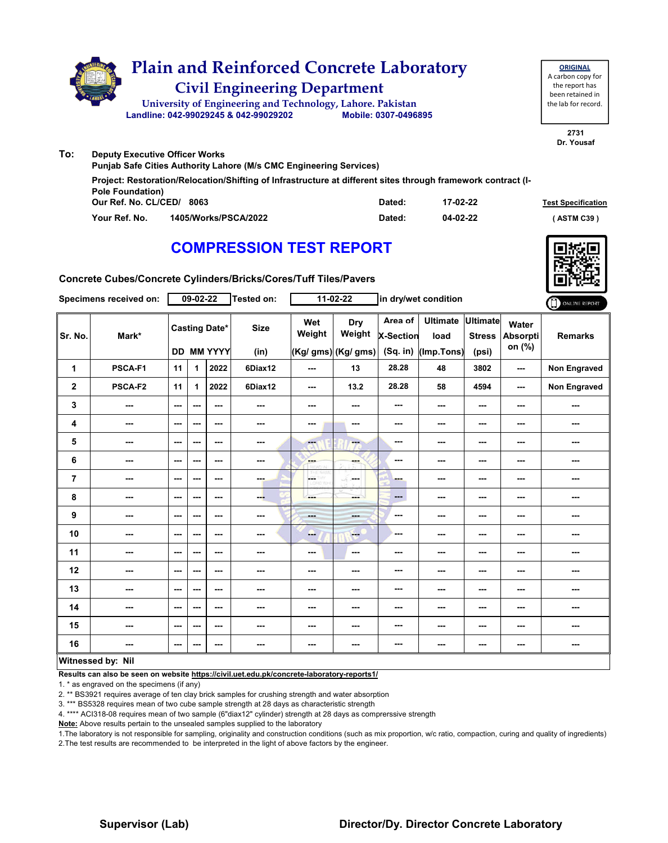

| <b>Punjab Safe Cities Authority Lahore (M/s CMC Engineering Services)</b> |                                                                                                              |        |          |                           |  |  |  |  |  |  |  |
|---------------------------------------------------------------------------|--------------------------------------------------------------------------------------------------------------|--------|----------|---------------------------|--|--|--|--|--|--|--|
| <b>Pole Foundation</b> )                                                  | Project: Restoration/Relocation/Shifting of Infrastructure at different sites through framework contract (I- |        |          |                           |  |  |  |  |  |  |  |
| Our Ref. No. CL/CED/                                                      | 8063                                                                                                         | Dated: | 17-02-22 | <b>Test Specification</b> |  |  |  |  |  |  |  |
| Your Ref. No.                                                             | 1405/Works/PSCA/2022                                                                                         | Dated: | 04-02-22 | (ASTM C39)                |  |  |  |  |  |  |  |

# **COMPRESSION TEST REPORT**



**2731**

**Concrete Cubes/Concrete Cylinders/Bricks/Cores/Tuff Tiles/Pavers**

|             | Specimens received on: |                          | 09-02-22 |                                           | <b>Tested on:</b>   |                   | $11-02-22$                                  |                                  | in dry/wet condition                    |                        |                                    | ONLINE REPORT  |
|-------------|------------------------|--------------------------|----------|-------------------------------------------|---------------------|-------------------|---------------------------------------------|----------------------------------|-----------------------------------------|------------------------|------------------------------------|----------------|
| Sr. No.     | Mark*                  |                          |          | <b>Casting Date*</b><br><b>DD MM YYYY</b> | <b>Size</b><br>(in) | Wet<br>Weight     | <b>Dry</b><br>Weight<br>(Kg/ gms) (Kg/ gms) | Area of<br>X-Section<br>(Sq. in) | Ultimate Ultimate<br>load<br>(Imp.Tons) | <b>Stress</b><br>(psi) | Water<br><b>Absorpti</b><br>on (%) | <b>Remarks</b> |
| 1           | PSCA-F1                | 11                       | 1        | 2022                                      | 6Diax12             | $\sim$ $\sim$     | 13                                          | 28.28                            | 48                                      | 3802                   | $\sim$ $\sim$                      | Non Engraved   |
| $\mathbf 2$ | PSCA-F2                | 11                       | 1        | 2022                                      | 6Diax12             | $\sim$ $\sim$     | 13.2                                        | 28.28                            | 58                                      | 4594                   | $\sim$                             | Non Engraved   |
| 3           | ---                    | $\sim$ $\sim$            | ---      | ---                                       | ---                 | ---               | ---                                         | ---                              | ---                                     | ---                    | ---                                | ---            |
| 4           | ---                    | $--$                     | ---      | $\overline{\phantom{a}}$                  | ---                 | $\sim$ $\sim$     | $\overline{\phantom{a}}$                    | ---                              | ---                                     | ---                    | $\sim$                             | ---            |
| 5           | ---                    | ---                      | ---      | ---                                       | ---                 | $-1$              | m.                                          | ---                              | ---                                     | ---                    | ---                                | ---            |
| 6           | ---                    | ---                      | ---      | ---                                       | ---                 | ---               | ---                                         | ---                              | ---                                     | ---                    | $\overline{\phantom{a}}$           | ---            |
| 7           | ---                    | ---                      | ---      | ---                                       | ---                 | CETHY<br>LORD WHI | -S.<br>ومحادثه                              | -                                | $\cdots$                                | ---                    | $\overline{\phantom{a}}$           | ---            |
| 8           | ---                    | $- - -$                  | ---      | $\overline{\phantom{a}}$                  | --                  | ---               | ---                                         | $\qquad \qquad \cdots$           | ---                                     | ---                    | ---                                | ---            |
| 9           | ---                    | $\overline{\phantom{a}}$ | ---      | $\overline{\phantom{a}}$                  | ---                 | <b>Basic</b>      | ---                                         | $\overline{\phantom{a}}$         | ---                                     | ---                    | ---                                | ---            |
| 10          | ---                    | $\overline{\phantom{a}}$ | ---      | $\overline{\phantom{a}}$                  | ---                 | --                | ---                                         | ---                              | ---                                     | ---                    | $\sim$                             | ---            |
| 11          | ---                    | $\overline{\phantom{a}}$ | ---      | ---                                       | ---                 | $\sim$ $\sim$     | $\overline{\phantom{a}}$                    | ---                              | ---                                     | ---                    | $\overline{\phantom{a}}$           | ---            |
| 12          | ---                    | ---                      | ---      | ---                                       | ---                 | ---               | ---                                         | ---                              | ---                                     | ---                    | ---                                | ---            |
| 13          | ---                    | ---                      | ---      | ---                                       |                     | ---               | ---                                         | ---                              | ---                                     | ---                    | ---                                | ---            |
| 14          | ---                    | $-$                      | ---      | $\overline{\phantom{a}}$                  | ---                 | ---               | ---                                         | $\overline{\phantom{a}}$         | ---                                     | ---                    | ---                                | ---            |
| 15          | ---                    | $\sim$ $\sim$            | ---      | ---                                       | ---                 | ---               | ---                                         | ---                              | ---                                     | ---                    | ---                                | ---            |
| 16          | ---                    | $--$                     | ---      | $\overline{\phantom{a}}$                  | ---                 | ---               | ---                                         | $\overline{\phantom{a}}$         | ---                                     | ---                    | $\sim$                             | ---            |
|             | Witnessed by: Nil      |                          |          |                                           |                     |                   |                                             |                                  |                                         |                        |                                    |                |

## **Witnessed by: Nil**

**Results can also be seen on website https://civil.uet.edu.pk/concrete-laboratory-reports1/**

1. \* as engraved on the specimens (if any)

2. \*\* BS3921 requires average of ten clay brick samples for crushing strength and water absorption

3. \*\*\* BS5328 requires mean of two cube sample strength at 28 days as characteristic strength

4. \*\*\*\* ACI318-08 requires mean of two sample (6"diax12" cylinder) strength at 28 days as comprerssive strength

**Note:** Above results pertain to the unsealed samples supplied to the laboratory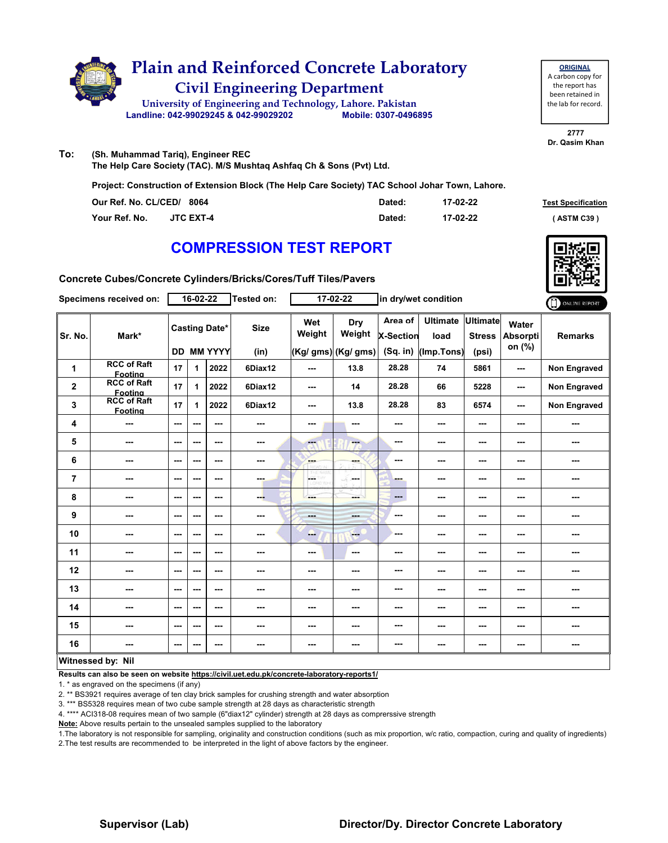

**ORIGINAL** A carbon copy for the report has been retained in the lab for record.

**2777 Dr. Qasim Khan**

**To: (Sh. Muhammad Tariq), Engineer REC**

**The Help Care Society (TAC). M/S Mushtaq Ashfaq Ch & Sons (Pvt) Ltd.**

**Project: Construction of Extension Block (The Help Care Society) TAC School Johar Town, Lahore.**

| Our Ref. No. CL/CED/ 8064 |                  | Dated: | 17-02-22 | <b>Test Specification</b> |
|---------------------------|------------------|--------|----------|---------------------------|
| Your Ref. No.             | <b>JTC EXT-4</b> | Dated: | 17-02-22 | (ASTM C39)                |

# **COMPRESSION TEST REPORT**



**Concrete Cubes/Concrete Cylinders/Bricks/Cores/Tuff Tiles/Pavers**

|                | Specimens received on:               |                          | 16-02-22 |                                    | Tested on:          |                | 17-02-22                             |                                         | in dry/wet condition                  |                                    |                                    | ONLINE REPORT       |
|----------------|--------------------------------------|--------------------------|----------|------------------------------------|---------------------|----------------|--------------------------------------|-----------------------------------------|---------------------------------------|------------------------------------|------------------------------------|---------------------|
| Sr. No.        | Mark*                                |                          |          | <b>Casting Date*</b><br>DD MM YYYY | <b>Size</b><br>(in) | Wet<br>Weight  | Dry<br>Weight<br>(Kg/ gms) (Kg/ gms) | Area of<br><b>X-Section</b><br>(Sq. in) | <b>Ultimate</b><br>load<br>(Imp.Tons) | Ultimate<br><b>Stress</b><br>(psi) | Water<br><b>Absorpti</b><br>on (%) | <b>Remarks</b>      |
| 1              | <b>RCC of Raft</b><br>Footing        | 17                       | 1        | 2022                               | 6Diax12             | $--$           | 13.8                                 | 28.28                                   | 74                                    | 5861                               | ---                                | <b>Non Engraved</b> |
| $\mathbf 2$    | <b>RCC of Raft</b><br><b>Footing</b> | 17                       | 1.       | 2022                               | 6Diax12             | ---            | 14                                   | 28.28                                   | 66                                    | 5228                               | $-$                                | <b>Non Engraved</b> |
| 3              | <b>RCC of Raft</b><br>Footing        | 17                       | 1        | 2022                               | 6Diax12             | ---            | 13.8                                 | 28.28                                   | 83                                    | 6574                               | ---                                | <b>Non Engraved</b> |
| 4              | ---                                  | ---                      | ---      | ---                                | ---                 | ---            | ---                                  | ---                                     | ---                                   | ---                                | ---                                | ---                 |
| 5              | ---                                  | $\overline{\phantom{a}}$ | ---      | ---                                | ---                 | ---            | ---                                  | ---                                     | ---                                   | $\overline{\phantom{a}}$           | ---                                | ---                 |
| 6              | ---                                  | $\overline{\phantom{a}}$ | ---      | ---                                | ---                 | ---            | ---                                  | ---                                     | ---                                   | ---                                | ---                                |                     |
| $\overline{7}$ | ---                                  | $\sim$                   | ---      | $--$                               | ---                 | A.             | ---                                  | ---                                     | ---                                   | $\overline{\phantom{a}}$           | ---                                | ---                 |
| 8              | ---                                  | ---                      | ---      | ---                                | ---                 | ---            | ---                                  | $\qquad \qquad \cdots$                  | ---                                   | ---                                | ---                                | ---                 |
| 9              | ---                                  | $\overline{\phantom{a}}$ | ---      | ---                                | ---                 | <b>Barbara</b> | ---                                  | $\sim$ $\sim$                           | ---                                   | ---                                | ---                                | ---                 |
| 10             | ---                                  | $\overline{\phantom{a}}$ | ---      | ---                                | ---                 | ---            | ---                                  | ---                                     | ---                                   | ---                                | ---                                | ---                 |
| 11             | ---                                  | $\sim$                   | ---      | ---                                | ---                 | $\cdots$       | ---                                  | ---                                     | ---                                   | ---                                | ---                                | ---                 |
| 12             | ---                                  | ---                      | ---      | ---                                | ---                 | ---            | ---                                  | ---                                     | ---                                   | ---                                | ---                                | ---                 |
| 13             | ---                                  | $\overline{\phantom{a}}$ | ---      | ---                                | ---                 | ---            | ---                                  | ---                                     | ---                                   | ---                                | ---                                | ---                 |
| 14             | ---                                  | ---                      | ---      | ---                                | ---                 | ---            | ---                                  | ---                                     | ---                                   | ---                                | ---                                | ---                 |
| 15             | ---                                  | $-$                      | ---      | ---                                | ---                 | ---            | ---                                  | ---                                     | ---                                   | ---                                | ---                                | ---                 |
| 16             | ---                                  | $\sim$ $\sim$            | ---      | ---                                | ---                 | ---            | ---                                  | ---                                     | ---                                   | ---                                | ---                                | ---                 |
|                | Witnessed by: Nil                    |                          |          |                                    |                     |                |                                      |                                         |                                       |                                    |                                    |                     |

## **Witnessed by: Nil**

**Results can also be seen on website https://civil.uet.edu.pk/concrete-laboratory-reports1/**

1. \* as engraved on the specimens (if any)

2. \*\* BS3921 requires average of ten clay brick samples for crushing strength and water absorption

3. \*\*\* BS5328 requires mean of two cube sample strength at 28 days as characteristic strength

4. \*\*\*\* ACI318-08 requires mean of two sample (6"diax12" cylinder) strength at 28 days as comprerssive strength

**Note:** Above results pertain to the unsealed samples supplied to the laboratory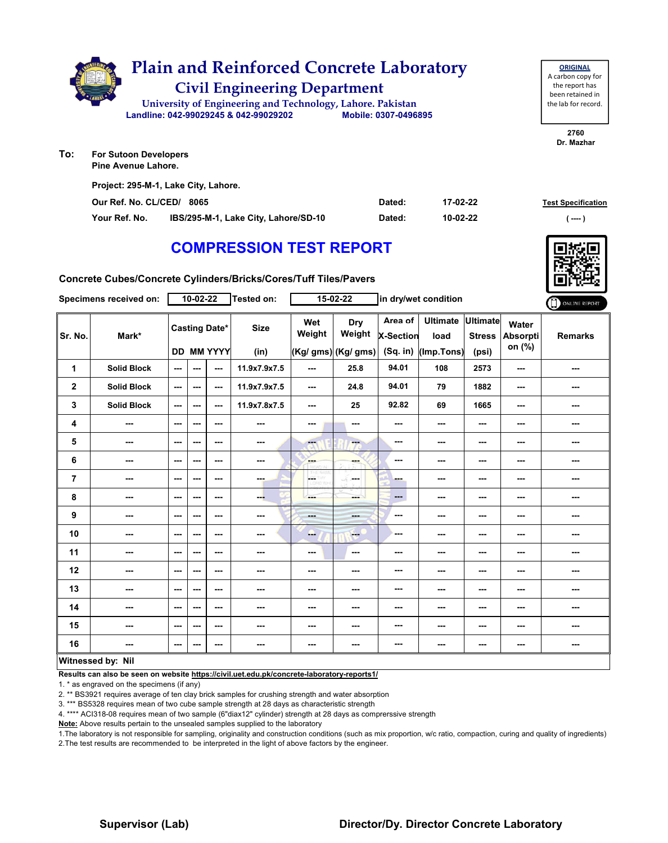

| Project: 295-M-1, Lake City, Lahore. |                                      |        |          |                           |  |  |  |  |  |  |
|--------------------------------------|--------------------------------------|--------|----------|---------------------------|--|--|--|--|--|--|
| Our Ref. No. CL/CED/                 | 8065                                 | Dated: | 17-02-22 | <b>Test Specification</b> |  |  |  |  |  |  |
| Your Ref. No.                        | IBS/295-M-1, Lake City, Lahore/SD-10 | Dated: | 10-02-22 | ( ----                    |  |  |  |  |  |  |

# **COMPRESSION TEST REPORT**

**Concrete Cubes/Concrete Cylinders/Bricks/Cores/Tuff Tiles/Pavers**

|                | Specimens received on:   |                          | $10-02-22$ |                                           | Tested on:               |               | 15-02-22                             |                             | in dry/wet condition                            |                                           |                             | ONLINE REPORT  |
|----------------|--------------------------|--------------------------|------------|-------------------------------------------|--------------------------|---------------|--------------------------------------|-----------------------------|-------------------------------------------------|-------------------------------------------|-----------------------------|----------------|
| Sr. No.        | Mark*                    |                          |            | <b>Casting Date*</b><br><b>DD MM YYYY</b> | <b>Size</b><br>(in)      | Wet<br>Weight | Dry<br>Weight<br>(Kg/ gms) (Kg/ gms) | Area of<br><b>X-Section</b> | <b>Ultimate</b><br>load<br>(Sq. in) (Imp. Tons) | <b>Ultimate</b><br><b>Stress</b><br>(psi) | Water<br>Absorpti<br>on (%) | <b>Remarks</b> |
| 1              | <b>Solid Block</b>       | $\sim$                   | ---        | $\sim$ $\sim$                             | 11.9x7.9x7.5             | $--$          | 25.8                                 | 94.01                       | 108                                             | 2573                                      | ---                         | ---            |
| $\mathbf{2}$   | <b>Solid Block</b>       | $\sim$ $\sim$            | $\sim$     | $\sim$ $\sim$                             | 11.9x7.9x7.5             | ---           | 24.8                                 | 94.01                       | 79                                              | 1882                                      | ---                         | ---            |
| 3              | <b>Solid Block</b>       | $\sim$ $\sim$            | ---        | $\sim$ $\sim$                             | 11.9x7.8x7.5             | $--$          | 25                                   | 92.82                       | 69                                              | 1665                                      | $\overline{\phantom{a}}$    | ---            |
| 4              | ---                      | $\qquad \qquad \cdots$   | ---        | $\sim$ $\sim$                             | ---                      | ---           | $\sim$ $\sim$                        | ---                         | ---                                             | ---                                       | ---                         | ---            |
| 5              | $- - -$                  | $\overline{a}$           | ---        | $\sim$ $\sim$                             | ---                      | m.            | ---                                  | $\overline{\phantom{a}}$    | ---                                             | ---                                       | ---                         | ---            |
| 6              | $\overline{\phantom{a}}$ | $\sim$ $\sim$            | ---        | $\sim$                                    | $\overline{\phantom{a}}$ | <b>Barnet</b> | ---                                  | $\cdots$                    | ---                                             | ---                                       | ---                         | ---            |
| $\overline{7}$ | ---                      | $\qquad \qquad \cdots$   | ---        | $\qquad \qquad \cdots$                    | ---                      | <b>GETHY</b>  | ---                                  | -                           | ---                                             | ---                                       | ---                         | ---            |
| 8              | $\sim$                   | $\sim$ $\sim$            | ---        | $- - -$                                   | --                       | ---           | ---                                  | $\qquad \qquad \cdots$      | ---                                             | ---                                       | $\sim$                      | ---            |
| 9              | ---                      | $\hspace{0.05cm} \ldots$ | ---        | $\sim$ $\sim$                             | ---                      | ---           | <b>START</b>                         | $\overline{\phantom{a}}$    | ---                                             | ---                                       | ---                         | ---            |
| 10             | ---                      | $\sim$ $\sim$            | ---        | $\sim$ $\sim$                             | ---                      | --            | <b>Here</b>                          | $-$                         | ---                                             | ---                                       | ---                         | ---            |
| 11             | $\sim$                   | $\sim$ $\sim$            | ---        | $\sim$ $\sim$                             | ---                      | ---           | $\sim$                               | $\overline{\phantom{a}}$    | ---                                             | ---                                       | ---                         | ---            |
| 12             | $\qquad \qquad \cdots$   | $\hspace{0.05cm} \ldots$ | ---        | $\sim$ $\sim$                             | ---                      | ---           | ---                                  | $\sim$                      | ---                                             | ---                                       | ---                         | ---            |
| 13             | ---                      | $\sim$ $\sim$            | ---        | $\sim$ $\sim$                             | ---                      | ---           | ---                                  | ---                         | ---                                             | ---                                       | ---                         | ---            |
| 14             | $\overline{\phantom{a}}$ | $\sim$                   | ---        | $\sim$ $\sim$                             | $\overline{\phantom{a}}$ | ---           | $\sim$ $\sim$                        | $\overline{\phantom{a}}$    | $--$                                            | ---                                       | $\sim$                      | ---            |
| 15             | $\overline{\phantom{a}}$ | $\sim$ $\sim$            | ---        | $\sim$ $\sim$                             | $\overline{\phantom{a}}$ | ---           | ---                                  | $\cdots$                    | ---                                             | ---                                       | ---                         | ---            |
| 16             | ---                      | $\cdots$                 | ---        | $\cdots$                                  | ---                      | ---           | ---                                  | ---                         | ---                                             | ---                                       | ---                         | ---            |
|                | Witnessed by: Nil        |                          |            |                                           |                          |               |                                      |                             |                                                 |                                           |                             |                |

### **Witnessed by: Nil**

**Results can also be seen on website https://civil.uet.edu.pk/concrete-laboratory-reports1/**

1. \* as engraved on the specimens (if any)

2. \*\* BS3921 requires average of ten clay brick samples for crushing strength and water absorption

3. \*\*\* BS5328 requires mean of two cube sample strength at 28 days as characteristic strength

4. \*\*\*\* ACI318-08 requires mean of two sample (6"diax12" cylinder) strength at 28 days as comprerssive strength

**Note:** Above results pertain to the unsealed samples supplied to the laboratory